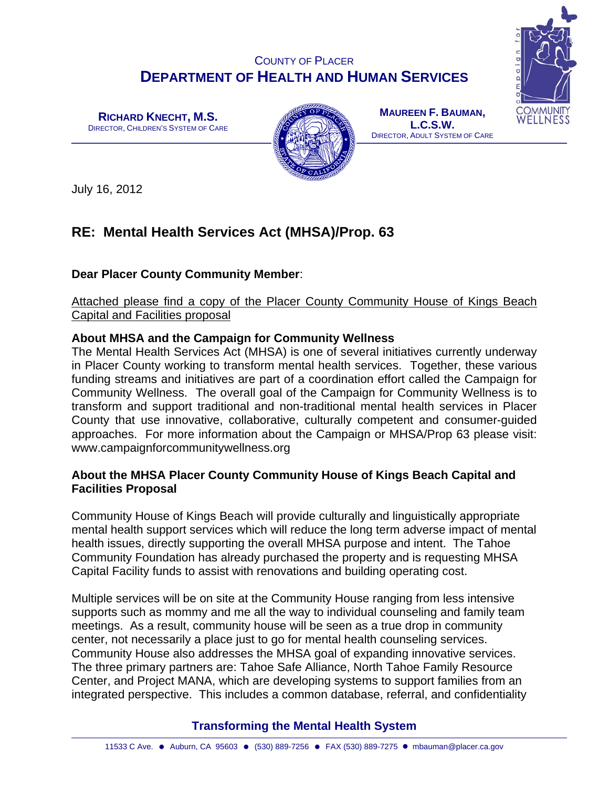## COUNTY OF PLACER **DEPARTMENT OF HEALTH AND HUMAN SERVICES**

**RICHARD KNECHT, M.S.**  DIRECTOR, CHILDREN'S SYSTEM OF CARE



**MAUREEN F. BAUMAN, L.C.S.W.**  DIRECTOR, ADULT SYSTEM OF CARE

July 16, 2012

# **RE: Mental Health Services Act (MHSA)/Prop. 63**

## **Dear Placer County Community Member**:

Attached please find a copy of the Placer County Community House of Kings Beach Capital and Facilities proposal

## **About MHSA and the Campaign for Community Wellness**

The Mental Health Services Act (MHSA) is one of several initiatives currently underway in Placer County working to transform mental health services. Together, these various funding streams and initiatives are part of a coordination effort called the Campaign for Community Wellness. The overall goal of the Campaign for Community Wellness is to transform and support traditional and non-traditional mental health services in Placer County that use innovative, collaborative, culturally competent and consumer-guided approaches. For more information about the Campaign or MHSA/Prop 63 please visit: www.campaignforcommunitywellness.org

## **About the MHSA Placer County Community House of Kings Beach Capital and Facilities Proposal**

Community House of Kings Beach will provide culturally and linguistically appropriate mental health support services which will reduce the long term adverse impact of mental health issues, directly supporting the overall MHSA purpose and intent. The Tahoe Community Foundation has already purchased the property and is requesting MHSA Capital Facility funds to assist with renovations and building operating cost.

Multiple services will be on site at the Community House ranging from less intensive supports such as mommy and me all the way to individual counseling and family team meetings. As a result, community house will be seen as a true drop in community center, not necessarily a place just to go for mental health counseling services. Community House also addresses the MHSA goal of expanding innovative services. The three primary partners are: Tahoe Safe Alliance, North Tahoe Family Resource Center, and Project MANA, which are developing systems to support families from an integrated perspective. This includes a common database, referral, and confidentiality

## **Transforming the Mental Health System**

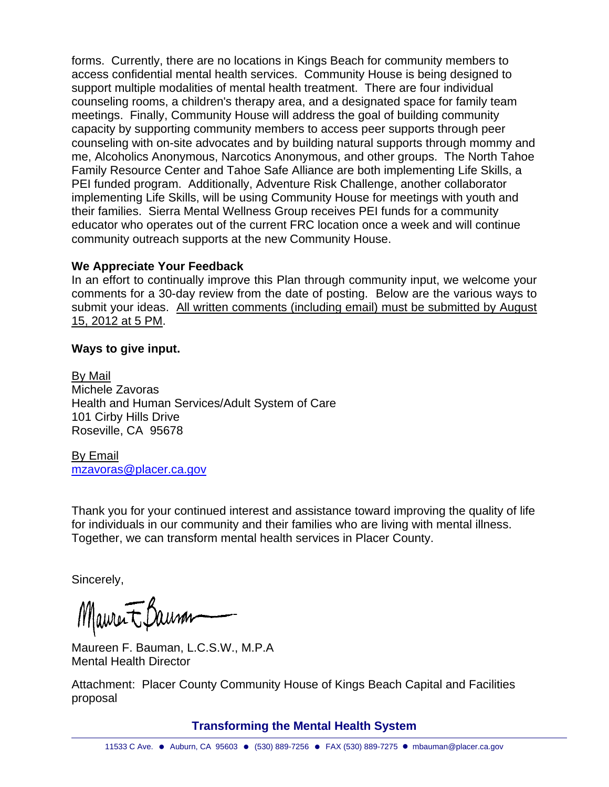forms. Currently, there are no locations in Kings Beach for community members to access confidential mental health services. Community House is being designed to support multiple modalities of mental health treatment. There are four individual counseling rooms, a children's therapy area, and a designated space for family team meetings. Finally, Community House will address the goal of building community capacity by supporting community members to access peer supports through peer counseling with on-site advocates and by building natural supports through mommy and me, Alcoholics Anonymous, Narcotics Anonymous, and other groups. The North Tahoe Family Resource Center and Tahoe Safe Alliance are both implementing Life Skills, a PEI funded program. Additionally, Adventure Risk Challenge, another collaborator implementing Life Skills, will be using Community House for meetings with youth and their families. Sierra Mental Wellness Group receives PEI funds for a community educator who operates out of the current FRC location once a week and will continue community outreach supports at the new Community House.

## **We Appreciate Your Feedback**

In an effort to continually improve this Plan through community input, we welcome your comments for a 30-day review from the date of posting. Below are the various ways to submit your ideas. All written comments (including email) must be submitted by August 15, 2012 at 5 PM.

## **Ways to give input.**

By Mail Michele Zavoras Health and Human Services/Adult System of Care 101 Cirby Hills Drive Roseville, CA 95678

By Email mzavoras@placer.ca.gov

Thank you for your continued interest and assistance toward improving the quality of life for individuals in our community and their families who are living with mental illness. Together, we can transform mental health services in Placer County.

Sincerely,

Maurent Baum

Maureen F. Bauman, L.C.S.W., M.P.A Mental Health Director

Attachment: Placer County Community House of Kings Beach Capital and Facilities proposal

**Transforming the Mental Health System**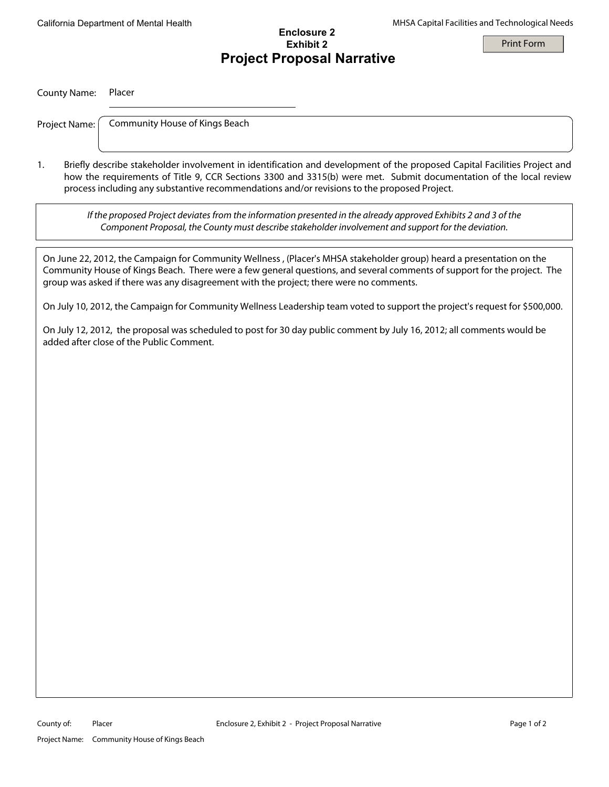California Department of Mental Health MHSA Capital Facilities and Technological Needs

## **Enclosure 2 Exhibit 2 Project Proposal Narrative**

Print Form

#### County Name: Placer

Project Name:

Community House of Kings Beach

1. Briefly describe stakeholder involvement in identification and development of the proposed Capital Facilities Project and how the requirements of Title 9, CCR Sections 3300 and 3315(b) were met. Submit documentation of the local review process including any substantive recommendations and/or revisions to the proposed Project.

If the proposed Project deviates from the information presented in the already approved Exhibits 2 and 3 of the Component Proposal, the County must describe stakeholder involvement and support for the deviation.

On June 22, 2012, the Campaign for Community Wellness , (Placer's MHSA stakeholder group) heard a presentation on the Community House of Kings Beach. There were a few general questions, and several comments of support for the project. The group was asked if there was any disagreement with the project; there were no comments.

On July 10, 2012, the Campaign for Community Wellness Leadership team voted to support the project's request for \$500,000.

On July 12, 2012, the proposal was scheduled to post for 30 day public comment by July 16, 2012; all comments would be added after close of the Public Comment.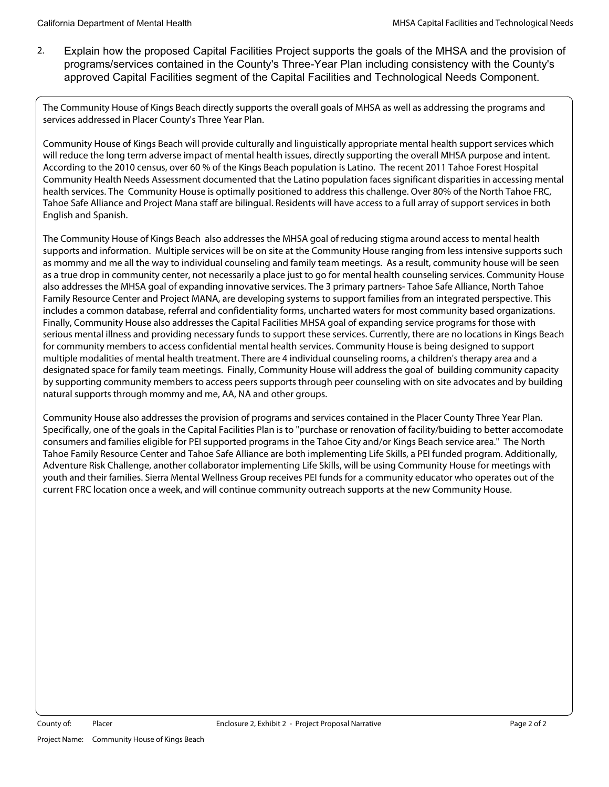2. Explain how the proposed Capital Facilities Project supports the goals of the MHSA and the provision of programs/services contained in the County's Three-Year Plan including consistency with the County's approved Capital Facilities segment of the Capital Facilities and Technological Needs Component.

The Community House of Kings Beach directly supports the overall goals of MHSA as well as addressing the programs and services addressed in Placer County's Three Year Plan.

Community House of Kings Beach will provide culturally and linguistically appropriate mental health support services which will reduce the long term adverse impact of mental health issues, directly supporting the overall MHSA purpose and intent. According to the 2010 census, over 60 % of the Kings Beach population is Latino. The recent 2011 Tahoe Forest Hospital Community Health Needs Assessment documented that the Latino population faces significant disparities in accessing mental health services. The Community House is optimally positioned to address this challenge. Over 80% of the North Tahoe FRC, Tahoe Safe Alliance and Project Mana staff are bilingual. Residents will have access to a full array of support services in both English and Spanish.

The Community House of Kings Beach also addresses the MHSA goal of reducing stigma around access to mental health supports and information. Multiple services will be on site at the Community House ranging from less intensive supports such as mommy and me all the way to individual counseling and family team meetings. As a result, community house will be seen as a true drop in community center, not necessarily a place just to go for mental health counseling services. Community House also addresses the MHSA goal of expanding innovative services. The 3 primary partners- Tahoe Safe Alliance, North Tahoe Family Resource Center and Project MANA, are developing systems to support families from an integrated perspective. This includes a common database, referral and confidentiality forms, uncharted waters for most community based organizations. Finally, Community House also addresses the Capital Facilities MHSA goal of expanding service programs for those with serious mental illness and providing necessary funds to support these services. Currently, there are no locations in Kings Beach for community members to access confidential mental health services. Community House is being designed to support multiple modalities of mental health treatment. There are 4 individual counseling rooms, a children's therapy area and a designated space for family team meetings. Finally, Community House will address the goal of building community capacity by supporting community members to access peers supports through peer counseling with on site advocates and by building natural supports through mommy and me, AA, NA and other groups.

Community House also addresses the provision of programs and services contained in the Placer County Three Year Plan. Specifically, one of the goals in the Capital Facilities Plan is to "purchase or renovation of facility/buiding to better accomodate consumers and families eligible for PEI supported programs in the Tahoe City and/or Kings Beach service area." The North Tahoe Family Resource Center and Tahoe Safe Alliance are both implementing Life Skills, a PEI funded program. Additionally, Adventure Risk Challenge, another collaborator implementing Life Skills, will be using Community House for meetings with youth and their families. Sierra Mental Wellness Group receives PEI funds for a community educator who operates out of the current FRC location once a week, and will continue community outreach supports at the new Community House.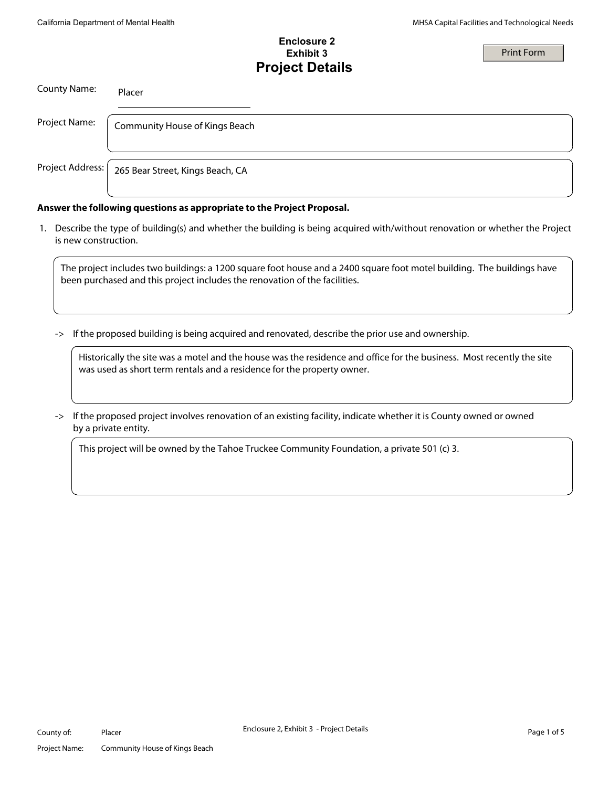Print Form

## **Enclosure 2 Exhibit 3 Project Details**

County Name: Placer Project Name: | Community House of Kings Beach Project Address: | 265 Bear Street, Kings Beach, CA

#### **Answer the following questions as appropriate to the Project Proposal.**

 1. Describe the type of building(s) and whether the building is being acquired with/without renovation or whether the Project is new construction.

The project includes two buildings: a 1200 square foot house and a 2400 square foot motel building. The buildings have been purchased and this project includes the renovation of the facilities.

-> If the proposed building is being acquired and renovated, describe the prior use and ownership.

Historically the site was a motel and the house was the residence and office for the business. Most recently the site was used as short term rentals and a residence for the property owner.

-> If the proposed project involves renovation of an existing facility, indicate whether it is County owned or owned by a private entity.

This project will be owned by the Tahoe Truckee Community Foundation, a private 501 (c) 3.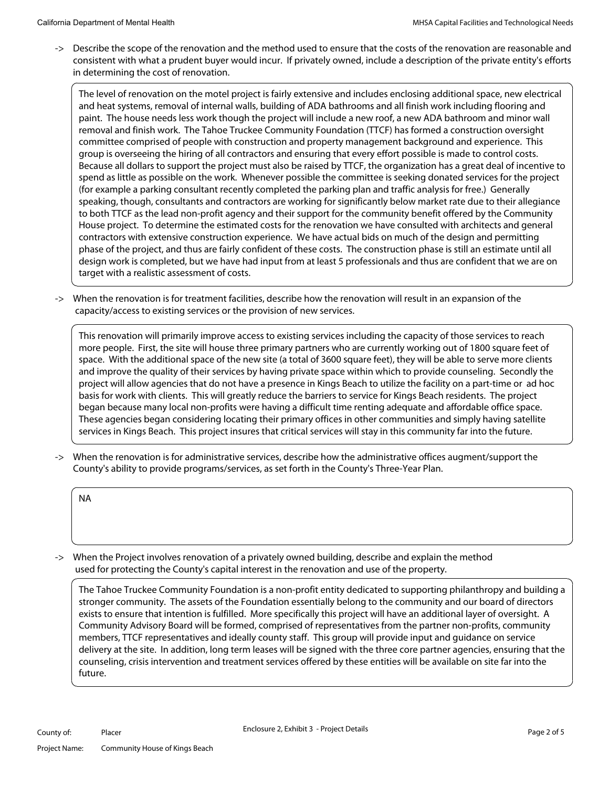-> Describe the scope of the renovation and the method used to ensure that the costs of the renovation are reasonable and consistent with what a prudent buyer would incur. If privately owned, include a description of the private entity's efforts in determining the cost of renovation.

The level of renovation on the motel project is fairly extensive and includes enclosing additional space, new electrical and heat systems, removal of internal walls, building of ADA bathrooms and all finish work including flooring and paint. The house needs less work though the project will include a new roof, a new ADA bathroom and minor wall removal and finish work. The Tahoe Truckee Community Foundation (TTCF) has formed a construction oversight committee comprised of people with construction and property management background and experience. This group is overseeing the hiring of all contractors and ensuring that every effort possible is made to control costs. Because all dollars to support the project must also be raised by TTCF, the organization has a great deal of incentive to spend as little as possible on the work. Whenever possible the committee is seeking donated services for the project (for example a parking consultant recently completed the parking plan and traffic analysis for free.) Generally speaking, though, consultants and contractors are working for significantly below market rate due to their allegiance to both TTCF as the lead non-profit agency and their support for the community benefit offered by the Community House project. To determine the estimated costs for the renovation we have consulted with architects and general contractors with extensive construction experience. We have actual bids on much of the design and permitting phase of the project, and thus are fairly confident of these costs. The construction phase is still an estimate until all design work is completed, but we have had input from at least 5 professionals and thus are confident that we are on target with a realistic assessment of costs.

-> When the renovation is for treatment facilities, describe how the renovation will result in an expansion of the capacity/access to existing services or the provision of new services.

This renovation will primarily improve access to existing services including the capacity of those services to reach more people. First, the site will house three primary partners who are currently working out of 1800 square feet of space. With the additional space of the new site (a total of 3600 square feet), they will be able to serve more clients and improve the quality of their services by having private space within which to provide counseling. Secondly the project will allow agencies that do not have a presence in Kings Beach to utilize the facility on a part-time or ad hoc basis for work with clients. This will greatly reduce the barriers to service for Kings Beach residents. The project began because many local non-profits were having a difficult time renting adequate and affordable office space. These agencies began considering locating their primary offices in other communities and simply having satellite services in Kings Beach. This project insures that critical services will stay in this community far into the future.

-> When the renovation is for administrative services, describe how the administrative offices augment/support the County's ability to provide programs/services, as set forth in the County's Three-Year Plan.

NA

-> When the Project involves renovation of a privately owned building, describe and explain the method used for protecting the County's capital interest in the renovation and use of the property.

The Tahoe Truckee Community Foundation is a non-profit entity dedicated to supporting philanthropy and building a stronger community. The assets of the Foundation essentially belong to the community and our board of directors exists to ensure that intention is fulfilled. More specifically this project will have an additional layer of oversight. A Community Advisory Board will be formed, comprised of representatives from the partner non-profits, community members, TTCF representatives and ideally county staff. This group will provide input and guidance on service delivery at the site. In addition, long term leases will be signed with the three core partner agencies, ensuring that the counseling, crisis intervention and treatment services offered by these entities will be available on site far into the future.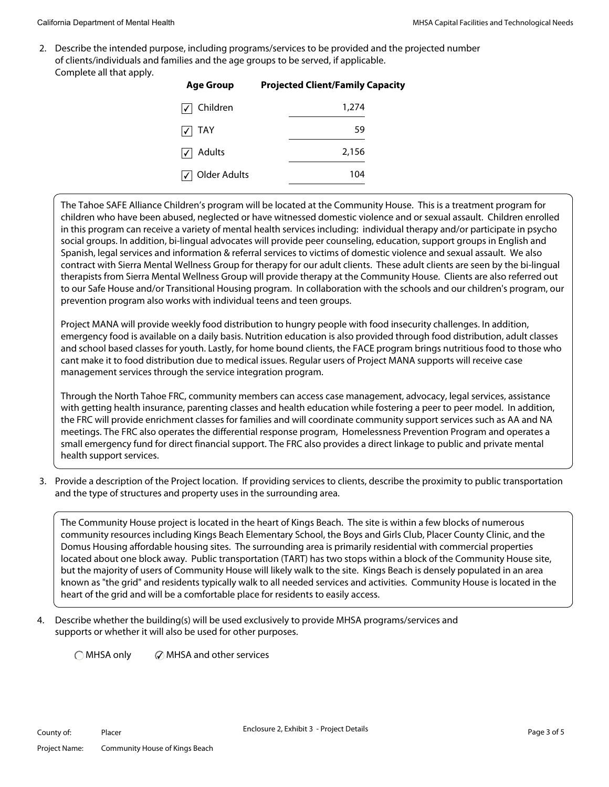2. Describe the intended purpose, including programs/services to be provided and the projected number of clients/individuals and families and the age groups to be served, if applicable. Complete all that apply.

| <b>Projected Client/Family Capacity</b> |
|-----------------------------------------|
| 1,274                                   |
| 59                                      |
| 2,156                                   |
| 104                                     |
|                                         |

The Tahoe SAFE Alliance Children's program will be located at the Community House. This is a treatment program for children who have been abused, neglected or have witnessed domestic violence and or sexual assault. Children enrolled in this program can receive a variety of mental health services including: individual therapy and/or participate in psycho social groups. In addition, bi-lingual advocates will provide peer counseling, education, support groups in English and Spanish, legal services and information & referral services to victims of domestic violence and sexual assault. We also contract with Sierra Mental Wellness Group for therapy for our adult clients. These adult clients are seen by the bi-lingual therapists from Sierra Mental Wellness Group will provide therapy at the Community House. Clients are also referred out to our Safe House and/or Transitional Housing program. In collaboration with the schools and our children's program, our prevention program also works with individual teens and teen groups.

Project MANA will provide weekly food distribution to hungry people with food insecurity challenges. In addition, emergency food is available on a daily basis. Nutrition education is also provided through food distribution, adult classes and school based classes for youth. Lastly, for home bound clients, the FACE program brings nutritious food to those who cant make it to food distribution due to medical issues. Regular users of Project MANA supports will receive case management services through the service integration program.

Through the North Tahoe FRC, community members can access case management, advocacy, legal services, assistance with getting health insurance, parenting classes and health education while fostering a peer to peer model. In addition, the FRC will provide enrichment classes for families and will coordinate community support services such as AA and NA meetings. The FRC also operates the differential response program, Homelessness Prevention Program and operates a small emergency fund for direct financial support. The FRC also provides a direct linkage to public and private mental health support services.

 3. Provide a description of the Project location. If providing services to clients, describe the proximity to public transportation and the type of structures and property uses in the surrounding area.

The Community House project is located in the heart of Kings Beach. The site is within a few blocks of numerous community resources including Kings Beach Elementary School, the Boys and Girls Club, Placer County Clinic, and the Domus Housing affordable housing sites. The surrounding area is primarily residential with commercial properties located about one block away. Public transportation (TART) has two stops within a block of the Community House site, but the majority of users of Community House will likely walk to the site. Kings Beach is densely populated in an area known as "the grid" and residents typically walk to all needed services and activities. Community House is located in the heart of the grid and will be a comfortable place for residents to easily access.

4. Describe whether the building(s) will be used exclusively to provide MHSA programs/services and supports or whether it will also be used for other purposes.

 $\bigcirc$  MHSA only  $\bigcirc$  MHSA and other services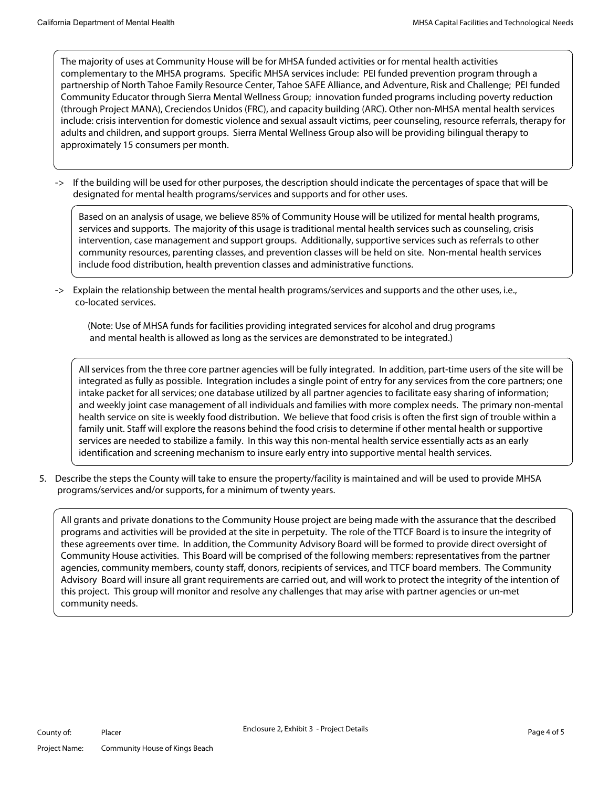The majority of uses at Community House will be for MHSA funded activities or for mental health activities complementary to the MHSA programs. Specific MHSA services include: PEI funded prevention program through a partnership of North Tahoe Family Resource Center, Tahoe SAFE Alliance, and Adventure, Risk and Challenge; PEI funded Community Educator through Sierra Mental Wellness Group; innovation funded programs including poverty reduction (through Project MANA), Creciendos Unidos (FRC), and capacity building (ARC). Other non-MHSA mental health services include: crisis intervention for domestic violence and sexual assault victims, peer counseling, resource referrals, therapy for adults and children, and support groups. Sierra Mental Wellness Group also will be providing bilingual therapy to approximately 15 consumers per month.

-> If the building will be used for other purposes, the description should indicate the percentages of space that will be designated for mental health programs/services and supports and for other uses.

Based on an analysis of usage, we believe 85% of Community House will be utilized for mental health programs, services and supports. The majority of this usage is traditional mental health services such as counseling, crisis intervention, case management and support groups. Additionally, supportive services such as referrals to other community resources, parenting classes, and prevention classes will be held on site. Non-mental health services include food distribution, health prevention classes and administrative functions.

-> Explain the relationship between the mental health programs/services and supports and the other uses, i.e., co-located services.

 (Note: Use of MHSA funds for facilities providing integrated services for alcohol and drug programs and mental health is allowed as long as the services are demonstrated to be integrated.)

All services from the three core partner agencies will be fully integrated. In addition, part-time users of the site will be integrated as fully as possible. Integration includes a single point of entry for any services from the core partners; one intake packet for all services; one database utilized by all partner agencies to facilitate easy sharing of information; and weekly joint case management of all individuals and families with more complex needs. The primary non-mental health service on site is weekly food distribution. We believe that food crisis is often the first sign of trouble within a family unit. Staff will explore the reasons behind the food crisis to determine if other mental health or supportive services are needed to stabilize a family. In this way this non-mental health service essentially acts as an early identification and screening mechanism to insure early entry into supportive mental health services.

 5. Describe the steps the County will take to ensure the property/facility is maintained and will be used to provide MHSA programs/services and/or supports, for a minimum of twenty years.

All grants and private donations to the Community House project are being made with the assurance that the described programs and activities will be provided at the site in perpetuity. The role of the TTCF Board is to insure the integrity of these agreements over time. In addition, the Community Advisory Board will be formed to provide direct oversight of Community House activities. This Board will be comprised of the following members: representatives from the partner agencies, community members, county staff, donors, recipients of services, and TTCF board members. The Community Advisory Board will insure all grant requirements are carried out, and will work to protect the integrity of the intention of this project. This group will monitor and resolve any challenges that may arise with partner agencies or un-met community needs.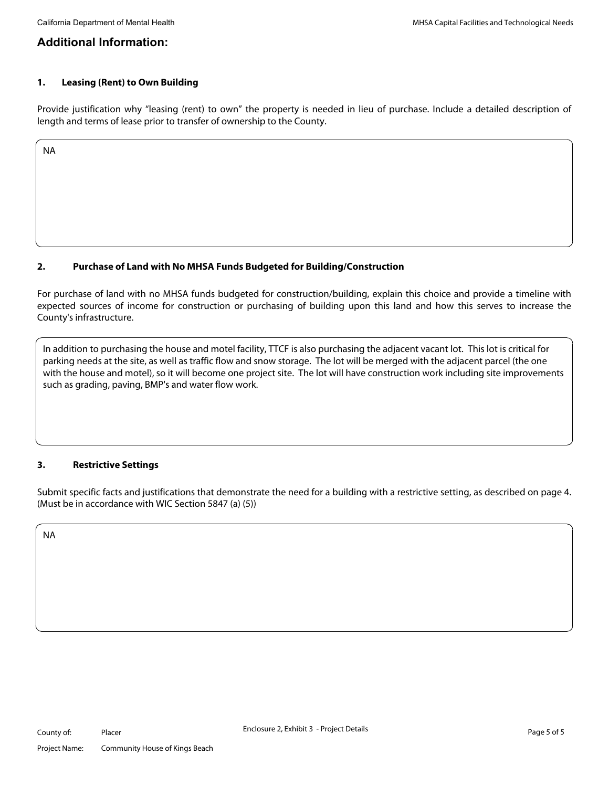## **Additional Information:**

#### **1. Leasing (Rent) to Own Building**

Provide justification why "leasing (rent) to own" the property is needed in lieu of purchase. Include a detailed description of length and terms of lease prior to transfer of ownership to the County.

NA

## **2. Purchase of Land with No MHSA Funds Budgeted for Building/Construction**

For purchase of land with no MHSA funds budgeted for construction/building, explain this choice and provide a timeline with expected sources of income for construction or purchasing of building upon this land and how this serves to increase the County's infrastructure.

In addition to purchasing the house and motel facility, TTCF is also purchasing the adjacent vacant lot. This lot is critical for parking needs at the site, as well as traffic flow and snow storage. The lot will be merged with the adjacent parcel (the one with the house and motel), so it will become one project site. The lot will have construction work including site improvements such as grading, paving, BMP's and water flow work.

#### **3. Restrictive Settings**

Submit specific facts and justifications that demonstrate the need for a building with a restrictive setting, as described on page 4. (Must be in accordance with WIC Section 5847 (a) (5))

NA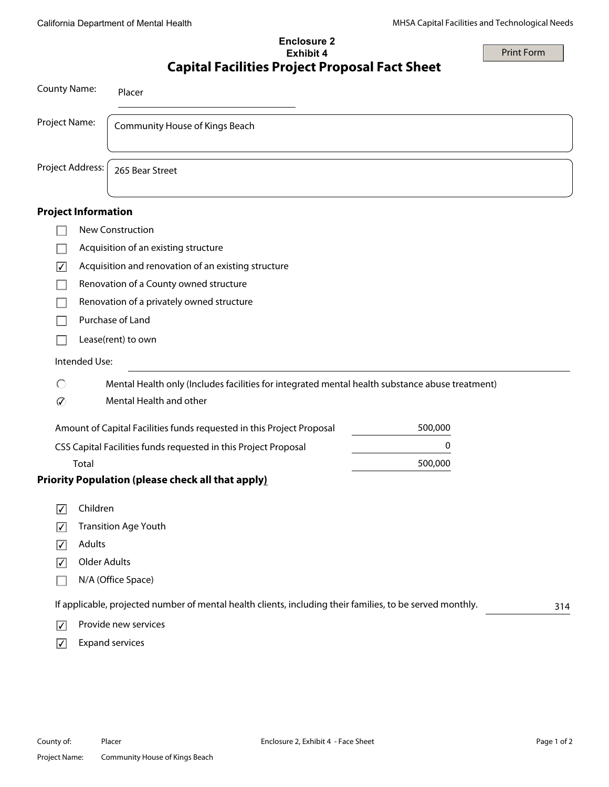## **Enclosure 2 Exhibit 4 Capital Facilities Project Proposal Fact Sheet**

Print Form

| <b>County Name:</b>             |                     | Placer                                                                                                           |  |
|---------------------------------|---------------------|------------------------------------------------------------------------------------------------------------------|--|
| Project Name:                   |                     | Community House of Kings Beach                                                                                   |  |
| Project Address:                |                     | 265 Bear Street                                                                                                  |  |
| <b>Project Information</b>      |                     |                                                                                                                  |  |
|                                 |                     | New Construction                                                                                                 |  |
|                                 |                     | Acquisition of an existing structure                                                                             |  |
| $\overline{\blacktriangledown}$ |                     | Acquisition and renovation of an existing structure                                                              |  |
|                                 |                     | Renovation of a County owned structure                                                                           |  |
|                                 |                     | Renovation of a privately owned structure                                                                        |  |
|                                 |                     | Purchase of Land                                                                                                 |  |
|                                 |                     | Lease(rent) to own                                                                                               |  |
|                                 | Intended Use:       |                                                                                                                  |  |
| C                               |                     | Mental Health only (Includes facilities for integrated mental health substance abuse treatment)                  |  |
| の                               |                     | Mental Health and other                                                                                          |  |
|                                 |                     | 500,000<br>Amount of Capital Facilities funds requested in this Project Proposal                                 |  |
|                                 |                     | 0<br>CSS Capital Facilities funds requested in this Project Proposal                                             |  |
|                                 | Total               | 500,000                                                                                                          |  |
|                                 |                     | <b>Priority Population (please check all that apply)</b>                                                         |  |
| ∣✓                              | Children            |                                                                                                                  |  |
| ⊻                               |                     | <b>Transition Age Youth</b>                                                                                      |  |
| $\overline{\mathbf{v}}$         | Adults              |                                                                                                                  |  |
| $\boxed{\checkmark}$            | <b>Older Adults</b> |                                                                                                                  |  |
|                                 |                     | N/A (Office Space)                                                                                               |  |
|                                 |                     | If applicable, projected number of mental health clients, including their families, to be served monthly.<br>314 |  |
| $\overline{\mathsf{v}}$         |                     | Provide new services                                                                                             |  |
| $\boxed{\checkmark}$            |                     | <b>Expand services</b>                                                                                           |  |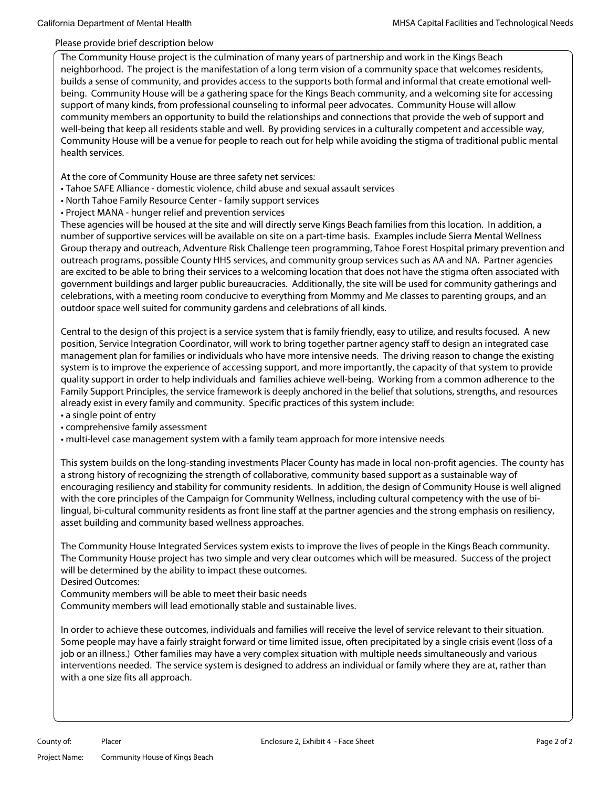#### Please provide brief description below

The Community House project is the culmination of many years of partnership and work in the Kings Beach neighborhood. The project is the manifestation of a long term vision of a community space that welcomes residents, builds a sense of community, and provides access to the supports both formal and informal that create emotional wellbeing. Community House will be a gathering space for the Kings Beach community, and a welcoming site for accessing support of many kinds, from professional counseling to informal peer advocates. Community House will allow community members an opportunity to build the relationships and connections that provide the web of support and well-being that keep all residents stable and well. By providing services in a culturally competent and accessible way, Community House will be a venue for people to reach out for help while avoiding the stigma of traditional public mental health services.

At the core of Community House are three safety net services:

- Tahoe SAFE Alliance domestic violence, child abuse and sexual assault services
- North Tahoe Family Resource Center family support services
- Project MANA hunger relief and prevention services

These agencies will be housed at the site and will directly serve Kings Beach families from this location. In addition, a number of supportive services will be available on site on a part-time basis. Examples include Sierra Mental Wellness Group therapy and outreach, Adventure Risk Challenge teen programming, Tahoe Forest Hospital primary prevention and outreach programs, possible County HHS services, and community group services such as AA and NA. Partner agencies are excited to be able to bring their services to a welcoming location that does not have the stigma often associated with government buildings and larger public bureaucracies. Additionally, the site will be used for community gatherings and celebrations, with a meeting room conducive to everything from Mommy and Me classes to parenting groups, and an outdoor space well suited for community gardens and celebrations of all kinds.

Central to the design of this project is a service system that is family friendly, easy to utilize, and results focused. A new position, Service Integration Coordinator, will work to bring together partner agency staff to design an integrated case management plan for families or individuals who have more intensive needs. The driving reason to change the existing system is to improve the experience of accessing support, and more importantly, the capacity of that system to provide quality support in order to help individuals and families achieve well-being. Working from a common adherence to the Family Support Principles, the service framework is deeply anchored in the belief that solutions, strengths, and resources already exist in every family and community. Specific practices of this system include:

- a single point of entry
- comprehensive family assessment
- multi-level case management system with a family team approach for more intensive needs

This system builds on the long-standing investments Placer County has made in local non-profit agencies. The county has a strong history of recognizing the strength of collaborative, community based support as a sustainable way of encouraging resiliency and stability for community residents. In addition, the design of Community House is well aligned with the core principles of the Campaign for Community Wellness, including cultural competency with the use of bilingual, bi-cultural community residents as front line staff at the partner agencies and the strong emphasis on resiliency, asset building and community based wellness approaches.

The Community House Integrated Services system exists to improve the lives of people in the Kings Beach community. The Community House project has two simple and very clear outcomes which will be measured. Success of the project will be determined by the ability to impact these outcomes.

Desired Outcomes:

Community members will be able to meet their basic needs

Community members will lead emotionally stable and sustainable lives.

In order to achieve these outcomes, individuals and families will receive the level of service relevant to their situation. Some people may have a fairly straight forward or time limited issue, often precipitated by a single crisis event (loss of a job or an illness.) Other families may have a very complex situation with multiple needs simultaneously and various interventions needed. The service system is designed to address an individual or family where they are at, rather than with a one size fits all approach.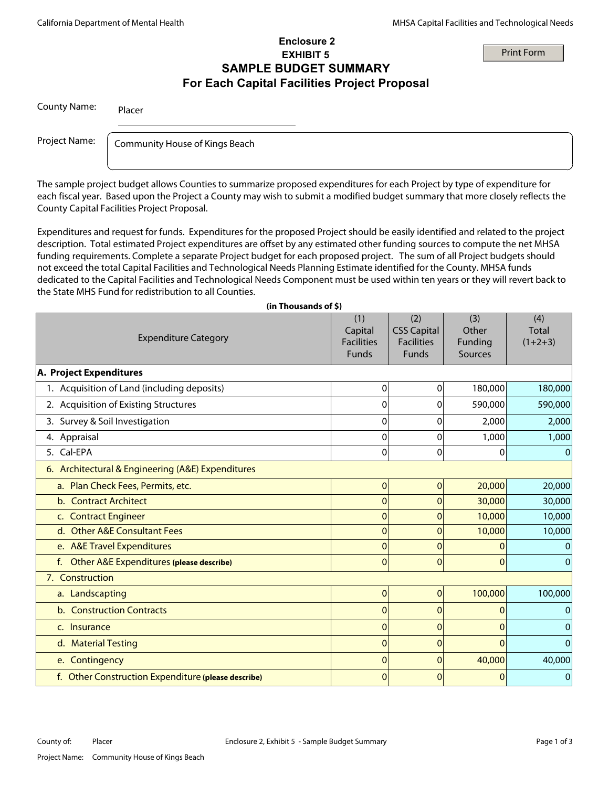#### Print Form

#### **Enclosure 2 EXHIBIT 5 SAMPLE BUDGET SUMMARY For Each Capital Facilities Project Proposal**

| <b>County Name:</b> | Placer                         |  |
|---------------------|--------------------------------|--|
| Project Name:       | Community House of Kings Beach |  |
|                     |                                |  |

The sample project budget allows Counties to summarize proposed expenditures for each Project by type of expenditure for each fiscal year. Based upon the Project a County may wish to submit a modified budget summary that more closely reflects the County Capital Facilities Project Proposal.

Expenditures and request for funds. Expenditures for the proposed Project should be easily identified and related to the project description. Total estimated Project expenditures are offset by any estimated other funding sources to compute the net MHSA funding requirements. Complete a separate Project budget for each proposed project. The sum of all Project budgets should not exceed the total Capital Facilities and Technological Needs Planning Estimate identified for the County. MHSA funds dedicated to the Capital Facilities and Technological Needs Component must be used within ten years or they will revert back to the State MHS Fund for redistribution to all Counties.

| (in Thousands of \$)                                |                                                     |                                                                |                                    |                                  |
|-----------------------------------------------------|-----------------------------------------------------|----------------------------------------------------------------|------------------------------------|----------------------------------|
| <b>Expenditure Category</b>                         | (1)<br>Capital<br><b>Facilities</b><br><b>Funds</b> | (2)<br><b>CSS Capital</b><br><b>Facilities</b><br><b>Funds</b> | (3)<br>Other<br>Funding<br>Sources | (4)<br><b>Total</b><br>$(1+2+3)$ |
| A. Project Expenditures                             |                                                     |                                                                |                                    |                                  |
| 1. Acquisition of Land (including deposits)         | 0                                                   | 0                                                              | 180,000                            | 180,000                          |
| 2. Acquisition of Existing Structures               | $\mathbf 0$                                         | 0                                                              | 590,000                            | 590,000                          |
| 3. Survey & Soil Investigation                      | $\mathbf 0$                                         | 0                                                              | 2,000                              | 2,000                            |
| 4. Appraisal                                        | $\mathbf 0$                                         | 0                                                              | 1,000                              | 1,000                            |
| 5. Cal-EPA                                          | $\mathbf 0$                                         | 0                                                              | $\mathbf 0$                        | 0                                |
| 6. Architectural & Engineering (A&E) Expenditures   |                                                     |                                                                |                                    |                                  |
| a. Plan Check Fees, Permits, etc.                   | $\mathbf 0$                                         | $\mathbf{0}$                                                   | 20,000                             | 20,000                           |
| <b>Contract Architect</b><br>$b_{1}$                | $\mathbf 0$                                         | 0                                                              | 30,000                             | 30,000                           |
| c. Contract Engineer                                | $\mathbf 0$                                         | 0                                                              | 10,000                             | 10,000                           |
| d. Other A&E Consultant Fees                        | $\mathbf 0$                                         | $\overline{0}$                                                 | 10,000                             | 10,000                           |
| e. A&E Travel Expenditures                          | $\mathbf 0$                                         | 0                                                              | 0                                  |                                  |
| Other A&E Expenditures (please describe)<br>f.      | $\overline{0}$                                      | $\mathbf 0$                                                    | $\mathbf{0}$                       |                                  |
| 7. Construction                                     |                                                     |                                                                |                                    |                                  |
| a. Landscapting                                     | $\mathbf{0}$                                        | $\overline{0}$                                                 | 100,000                            | 100,000                          |
| b. Construction Contracts                           | $\mathbf 0$                                         | 0                                                              | $\Omega$                           | 0                                |
| c. Insurance                                        | $\mathbf 0$                                         | $\overline{0}$                                                 | $\Omega$                           | 0                                |
| d. Material Testing                                 | $\mathbf 0$                                         | 0                                                              | $\Omega$                           |                                  |
| e. Contingency                                      | $\mathbf 0$                                         | $\overline{0}$                                                 | 40,000                             | 40,000                           |
| f. Other Construction Expenditure (please describe) | $\Omega$                                            | $\Omega$                                                       | $\Omega$                           | $\mathbf{0}$                     |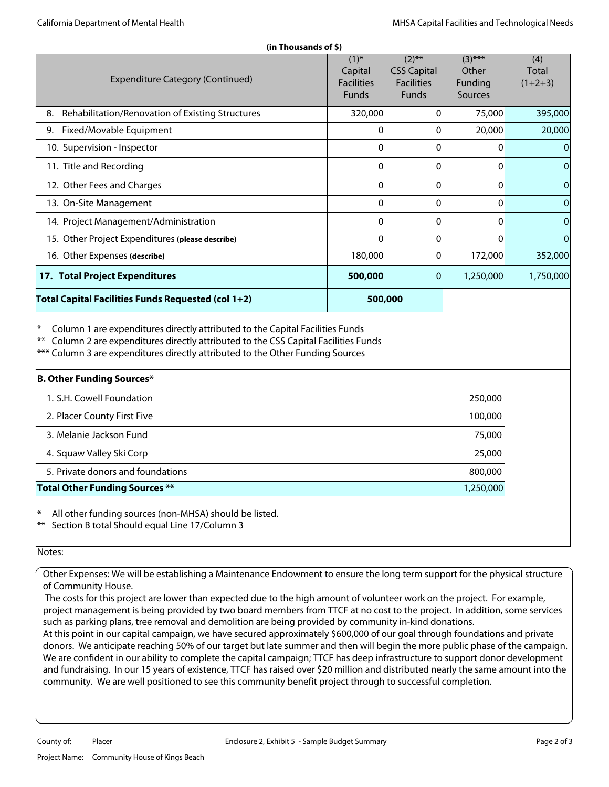| (in Thousands of \$)                                   |                                                           |                                                                     |                                          |                                  |  |
|--------------------------------------------------------|-----------------------------------------------------------|---------------------------------------------------------------------|------------------------------------------|----------------------------------|--|
| <b>Expenditure Category (Continued)</b>                | $(1)^{*}$<br>Capital<br><b>Facilities</b><br><b>Funds</b> | $(2)$ **<br><b>CSS Capital</b><br><b>Facilities</b><br><b>Funds</b> | $(3)$ ***<br>Other<br>Funding<br>Sources | (4)<br><b>Total</b><br>$(1+2+3)$ |  |
| Rehabilitation/Renovation of Existing Structures<br>8. | 320,000                                                   | $\Omega$                                                            | 75,000                                   | 395,000                          |  |
| Fixed/Movable Equipment<br>9.                          | 0                                                         | $\Omega$                                                            | 20,000                                   | 20,000                           |  |
| 10. Supervision - Inspector                            | 0                                                         | $\Omega$                                                            | 0                                        | $\Omega$                         |  |
| 11. Title and Recording                                | $\mathbf 0$                                               | $\Omega$                                                            | 0                                        | $\mathbf{0}$                     |  |
| 12. Other Fees and Charges                             | 0                                                         | $\Omega$                                                            | 0                                        | $\mathbf 0$                      |  |
| 13. On-Site Management                                 | $\Omega$                                                  | $\Omega$                                                            | 0                                        | $\mathbf{0}$                     |  |
| 14. Project Management/Administration                  | 0                                                         | $\Omega$                                                            | 0                                        | $\mathbf{0}$                     |  |
| 15. Other Project Expenditures (please describe)       | $\Omega$                                                  | $\Omega$                                                            | 0                                        | $\mathbf{0}$                     |  |
| 16. Other Expenses (describe)                          | 180,000                                                   | $\Omega$                                                            | 172,000                                  | 352,000                          |  |
| 17. Total Project Expenditures                         | 500,000                                                   | 0                                                                   | 1,250,000                                | 1,750,000                        |  |
| Total Capital Facilities Funds Requested (col 1+2)     |                                                           | 500,000                                                             |                                          |                                  |  |
|                                                        |                                                           |                                                                     |                                          |                                  |  |

Column 1 are expenditures directly attributed to the Capital Facilities Funds

 $**$  Column 2 are expenditures directly attributed to the CSS Capital Facilities Funds

\*\*\* Column 3 are expenditures directly attributed to the Other Funding Sources

| <b>B. Other Funding Sources*</b>      |           |  |
|---------------------------------------|-----------|--|
| 1. S.H. Cowell Foundation             | 250,000   |  |
| 2. Placer County First Five           | 100,000   |  |
| 3. Melanie Jackson Fund               | 75,000    |  |
| 4. Squaw Valley Ski Corp              | 25,000    |  |
| 5. Private donors and foundations     | 800,000   |  |
| <b>Total Other Funding Sources **</b> | 1,250,000 |  |

**\*** All other funding sources (non-MHSA) should be listed.

Section B total Should equal Line 17/Column 3

#### Notes:

Other Expenses: We will be establishing a Maintenance Endowment to ensure the long term support for the physical structure of Community House.

 The costs for this project are lower than expected due to the high amount of volunteer work on the project. For example, project management is being provided by two board members from TTCF at no cost to the project. In addition, some services such as parking plans, tree removal and demolition are being provided by community in-kind donations.

At this point in our capital campaign, we have secured approximately \$600,000 of our goal through foundations and private donors. We anticipate reaching 50% of our target but late summer and then will begin the more public phase of the campaign. We are confident in our ability to complete the capital campaign; TTCF has deep infrastructure to support donor development and fundraising. In our 15 years of existence, TTCF has raised over \$20 million and distributed nearly the same amount into the community. We are well positioned to see this community benefit project through to successful completion.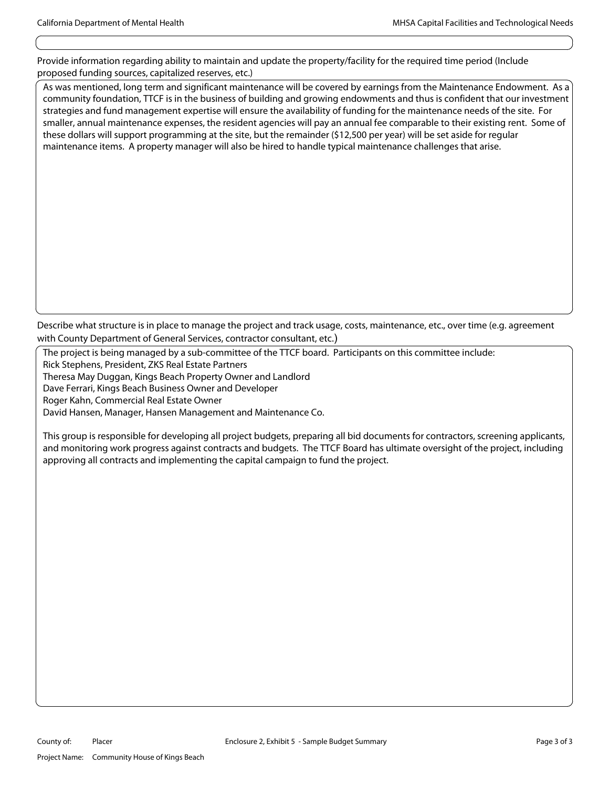Provide information regarding ability to maintain and update the property/facility for the required time period (Include proposed funding sources, capitalized reserves, etc.)

As was mentioned, long term and significant maintenance will be covered by earnings from the Maintenance Endowment. As a community foundation, TTCF is in the business of building and growing endowments and thus is confident that our investment strategies and fund management expertise will ensure the availability of funding for the maintenance needs of the site. For smaller, annual maintenance expenses, the resident agencies will pay an annual fee comparable to their existing rent. Some of these dollars will support programming at the site, but the remainder (\$12,500 per year) will be set aside for regular maintenance items. A property manager will also be hired to handle typical maintenance challenges that arise.

Describe what structure is in place to manage the project and track usage, costs, maintenance, etc., over time (e.g. agreement with County Department of General Services, contractor consultant, etc.)

The project is being managed by a sub-committee of the TTCF board. Participants on this committee include:

Rick Stephens, President, ZKS Real Estate Partners

Theresa May Duggan, Kings Beach Property Owner and Landlord

Dave Ferrari, Kings Beach Business Owner and Developer

Roger Kahn, Commercial Real Estate Owner

David Hansen, Manager, Hansen Management and Maintenance Co.

This group is responsible for developing all project budgets, preparing all bid documents for contractors, screening applicants, and monitoring work progress against contracts and budgets. The TTCF Board has ultimate oversight of the project, including approving all contracts and implementing the capital campaign to fund the project.